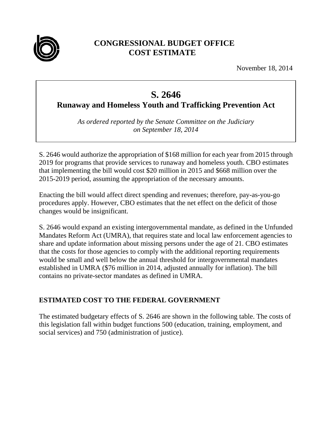

# **CONGRESSIONAL BUDGET OFFICE COST ESTIMATE**

November 18, 2014

# **S. 2646**

**Runaway and Homeless Youth and Trafficking Prevention Act** 

*As ordered reported by the Senate Committee on the Judiciary on September 18, 2014* 

S. 2646 would authorize the appropriation of \$168 million for each year from 2015 through 2019 for programs that provide services to runaway and homeless youth. CBO estimates that implementing the bill would cost \$20 million in 2015 and \$668 million over the 2015-2019 period, assuming the appropriation of the necessary amounts.

Enacting the bill would affect direct spending and revenues; therefore, pay-as-you-go procedures apply. However, CBO estimates that the net effect on the deficit of those changes would be insignificant.

S. 2646 would expand an existing intergovernmental mandate, as defined in the Unfunded Mandates Reform Act (UMRA), that requires state and local law enforcement agencies to share and update information about missing persons under the age of 21. CBO estimates that the costs for those agencies to comply with the additional reporting requirements would be small and well below the annual threshold for intergovernmental mandates established in UMRA (\$76 million in 2014, adjusted annually for inflation). The bill contains no private-sector mandates as defined in UMRA.

# **ESTIMATED COST TO THE FEDERAL GOVERNMENT**

The estimated budgetary effects of S. 2646 are shown in the following table. The costs of this legislation fall within budget functions 500 (education, training, employment, and social services) and 750 (administration of justice).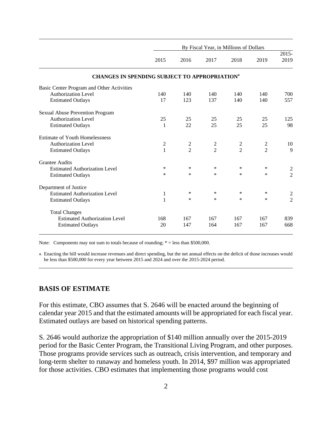|                                                                 | By Fiscal Year, in Millions of Dollars |                |                |                |                |                  |
|-----------------------------------------------------------------|----------------------------------------|----------------|----------------|----------------|----------------|------------------|
|                                                                 | 2015                                   | 2016           | 2017           | 2018           | 2019           | $2015 -$<br>2019 |
| <b>CHANGES IN SPENDING SUBJECT TO APPROPRIATION<sup>a</sup></b> |                                        |                |                |                |                |                  |
| Basic Center Program and Other Activities                       |                                        |                |                |                |                |                  |
| <b>Authorization Level</b>                                      | 140                                    | 140            | 140            | 140            | 140            | 700              |
| <b>Estimated Outlays</b>                                        | 17                                     | 123            | 137            | 140            | 140            | 557              |
| Sexual Abuse Prevention Program                                 |                                        |                |                |                |                |                  |
| <b>Authorization Level</b>                                      | 25                                     | 25             | 25             | 25             | 25             | 125              |
| <b>Estimated Outlays</b>                                        | 1                                      | 22             | 25             | 25             | 25             | 98               |
| <b>Estimate of Youth Homelessness</b>                           |                                        |                |                |                |                |                  |
| <b>Authorization Level</b>                                      | $\overline{c}$                         | $\overline{c}$ | $\overline{c}$ | $\overline{c}$ | $\overline{c}$ | 10               |
| <b>Estimated Outlays</b>                                        | $\mathbf{1}$                           | $\overline{2}$ | $\overline{2}$ | $\overline{2}$ | $\overline{2}$ | 9                |
| <b>Grantee Audits</b>                                           |                                        |                |                |                |                |                  |
| <b>Estimated Authorization Level</b>                            | *                                      | $\ast$         | $\ast$         | *              | $\ast$         | $\overline{2}$   |
| <b>Estimated Outlays</b>                                        | *                                      | $\ast$         | $\ast$         | $\ast$         | $\ast$         | $\overline{2}$   |
| Department of Justice                                           |                                        |                |                |                |                |                  |
| <b>Estimated Authorization Level</b>                            | 1                                      | $\ast$         | $\ast$         | *              | $\ast$         | $\overline{c}$   |
| <b>Estimated Outlays</b>                                        | $\mathbf{1}$                           | $\ast$         | $\ast$         | *              | $\ast$         | $\overline{2}$   |
| <b>Total Changes</b>                                            |                                        |                |                |                |                |                  |
| <b>Estimated Authorization Level</b>                            | 168                                    | 167            | 167            | 167            | 167            | 839              |
| <b>Estimated Outlays</b>                                        | 20                                     | 147            | 164            | 167            | 167            | 668              |

Note: Components may not sum to totals because of rounding;  $* =$  less than \$500,000.

a. Enacting the bill would increase revenues and direct spending, but the net annual effects on the deficit of those increases would be less than \$500,000 for every year between 2015 and 2024 and over the 2015-2024 period.

#### **BASIS OF ESTIMATE**

For this estimate, CBO assumes that S. 2646 will be enacted around the beginning of calendar year 2015 and that the estimated amounts will be appropriated for each fiscal year. Estimated outlays are based on historical spending patterns.

S. 2646 would authorize the appropriation of \$140 million annually over the 2015-2019 period for the Basic Center Program, the Transitional Living Program, and other purposes. Those programs provide services such as outreach, crisis intervention, and temporary and long-term shelter to runaway and homeless youth. In 2014, \$97 million was appropriated for those activities. CBO estimates that implementing those programs would cost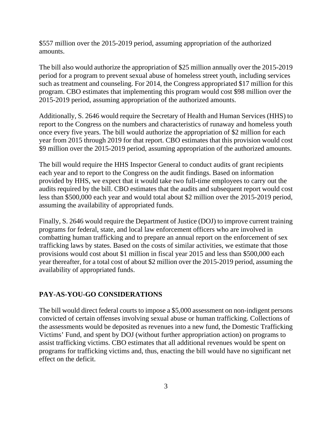\$557 million over the 2015-2019 period, assuming appropriation of the authorized amounts.

The bill also would authorize the appropriation of \$25 million annually over the 2015-2019 period for a program to prevent sexual abuse of homeless street youth, including services such as treatment and counseling. For 2014, the Congress appropriated \$17 million for this program. CBO estimates that implementing this program would cost \$98 million over the 2015-2019 period, assuming appropriation of the authorized amounts.

Additionally, S. 2646 would require the Secretary of Health and Human Services (HHS) to report to the Congress on the numbers and characteristics of runaway and homeless youth once every five years. The bill would authorize the appropriation of \$2 million for each year from 2015 through 2019 for that report. CBO estimates that this provision would cost \$9 million over the 2015-2019 period, assuming appropriation of the authorized amounts.

The bill would require the HHS Inspector General to conduct audits of grant recipients each year and to report to the Congress on the audit findings. Based on information provided by HHS, we expect that it would take two full-time employees to carry out the audits required by the bill. CBO estimates that the audits and subsequent report would cost less than \$500,000 each year and would total about \$2 million over the 2015-2019 period, assuming the availability of appropriated funds.

Finally, S. 2646 would require the Department of Justice (DOJ) to improve current training programs for federal, state, and local law enforcement officers who are involved in combatting human trafficking and to prepare an annual report on the enforcement of sex trafficking laws by states. Based on the costs of similar activities, we estimate that those provisions would cost about \$1 million in fiscal year 2015 and less than \$500,000 each year thereafter, for a total cost of about \$2 million over the 2015-2019 period, assuming the availability of appropriated funds.

#### **PAY-AS-YOU-GO CONSIDERATIONS**

The bill would direct federal courts to impose a \$5,000 assessment on non-indigent persons convicted of certain offenses involving sexual abuse or human trafficking. Collections of the assessments would be deposited as revenues into a new fund, the Domestic Trafficking Victims' Fund, and spent by DOJ (without further appropriation action) on programs to assist trafficking victims. CBO estimates that all additional revenues would be spent on programs for trafficking victims and, thus, enacting the bill would have no significant net effect on the deficit.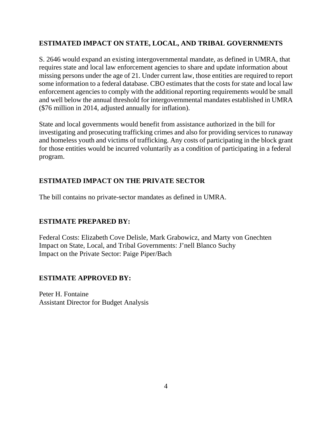# **ESTIMATED IMPACT ON STATE, LOCAL, AND TRIBAL GOVERNMENTS**

S. 2646 would expand an existing intergovernmental mandate, as defined in UMRA, that requires state and local law enforcement agencies to share and update information about missing persons under the age of 21. Under current law, those entities are required to report some information to a federal database. CBO estimates that the costs for state and local law enforcement agencies to comply with the additional reporting requirements would be small and well below the annual threshold for intergovernmental mandates established in UMRA (\$76 million in 2014, adjusted annually for inflation).

State and local governments would benefit from assistance authorized in the bill for investigating and prosecuting trafficking crimes and also for providing services to runaway and homeless youth and victims of trafficking. Any costs of participating in the block grant for those entities would be incurred voluntarily as a condition of participating in a federal program.

# **ESTIMATED IMPACT ON THE PRIVATE SECTOR**

The bill contains no private-sector mandates as defined in UMRA.

# **ESTIMATE PREPARED BY:**

Federal Costs: Elizabeth Cove Delisle, Mark Grabowicz, and Marty von Gnechten Impact on State, Local, and Tribal Governments: J'nell Blanco Suchy Impact on the Private Sector: Paige Piper/Bach

# **ESTIMATE APPROVED BY:**

Peter H. Fontaine Assistant Director for Budget Analysis